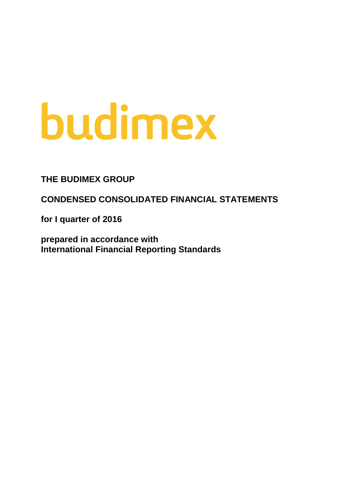# budimex

**THE BUDIMEX GROUP**

**CONDENSED CONSOLIDATED FINANCIAL STATEMENTS**

**for I quarter of 2016**

**prepared in accordance with International Financial Reporting Standards**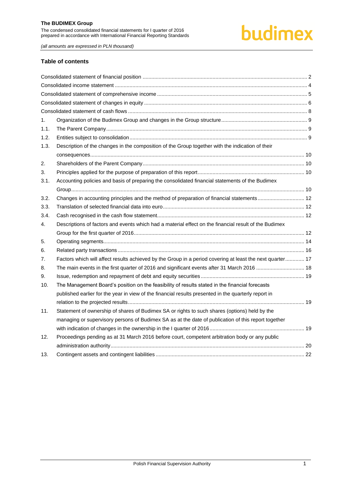# budimex

*(all amounts are expressed in PLN thousand)*

#### **Table of contents**

| 1.   |                                                                                                           |  |
|------|-----------------------------------------------------------------------------------------------------------|--|
| 1.1. |                                                                                                           |  |
| 1.2. |                                                                                                           |  |
| 1.3. | Description of the changes in the composition of the Group together with the indication of their          |  |
|      |                                                                                                           |  |
| 2.   |                                                                                                           |  |
| 3.   |                                                                                                           |  |
| 3.1. | Accounting policies and basis of preparing the consolidated financial statements of the Budimex           |  |
|      |                                                                                                           |  |
| 3.2. | Changes in accounting principles and the method of preparation of financial statements 12                 |  |
| 3.3. |                                                                                                           |  |
| 3.4. |                                                                                                           |  |
| 4.   | Descriptions of factors and events which had a material effect on the financial result of the Budimex     |  |
|      |                                                                                                           |  |
| 5.   |                                                                                                           |  |
| 6.   |                                                                                                           |  |
| 7.   | Factors which will affect results achieved by the Group in a period covering at least the next quarter 17 |  |
| 8.   | The main events in the first quarter of 2016 and significant events after 31 March 2016  18               |  |
| 9.   |                                                                                                           |  |
| 10.  | The Management Board's position on the feasibility of results stated in the financial forecasts           |  |
|      | published earlier for the year in view of the financial results presented in the quarterly report in      |  |
|      |                                                                                                           |  |
| 11.  | Statement of ownership of shares of Budimex SA or rights to such shares (options) held by the             |  |
|      | managing or supervisory persons of Budimex SA as at the date of publication of this report together       |  |
|      |                                                                                                           |  |
| 12.  | Proceedings pending as at 31 March 2016 before court, competent arbitration body or any public            |  |
|      |                                                                                                           |  |
| 13.  |                                                                                                           |  |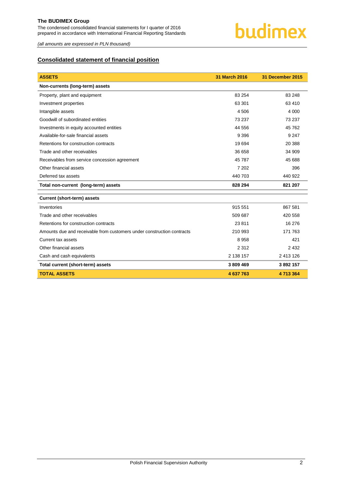*(all amounts are expressed in PLN thousand)*

# <span id="page-2-0"></span>**Consolidated statement of financial position**

| <b>ASSETS</b>                                                          | 31 March 2016 | 31 December 2015 |
|------------------------------------------------------------------------|---------------|------------------|
| Non-currents (long-term) assets                                        |               |                  |
| Property, plant and equipment                                          | 83 254        | 83 248           |
| Investment properties                                                  | 63 301        | 63 410           |
| Intangible assets                                                      | 4 506         | 4 0 0 0          |
| Goodwill of subordinated entities                                      | 73 237        | 73 237           |
| Investments in equity accounted entities                               | 44 556        | 45 762           |
| Available-for-sale financial assets                                    | 9 3 9 6       | 9 2 4 7          |
| Retentions for construction contracts                                  | 19694         | 20 388           |
| Trade and other receivables                                            | 36 658        | 34 909           |
| Receivables from service concession agreement                          | 45 787        | 45 688           |
| Other financial assets                                                 | 7 202         | 396              |
| Deferred tax assets                                                    | 440 703       | 440 922          |
| Total non-current (long-term) assets                                   | 828 294       | 821 207          |
| <b>Current (short-term) assets</b>                                     |               |                  |
| Inventories                                                            | 915 551       | 867 581          |
| Trade and other receivables                                            | 509 687       | 420 558          |
| Retentions for construction contracts                                  | 23811         | 16 276           |
| Amounts due and receivable from customers under construction contracts | 210 993       | 171 763          |
| Current tax assets                                                     | 8958          | 421              |
| Other financial assets                                                 | 2 3 1 2       | 2 4 3 2          |
| Cash and cash equivalents                                              | 2 138 157     | 2 413 126        |
| Total current (short-term) assets                                      | 3809469       | 3892157          |
| <b>TOTAL ASSETS</b>                                                    | 4 637 763     | 4 713 364        |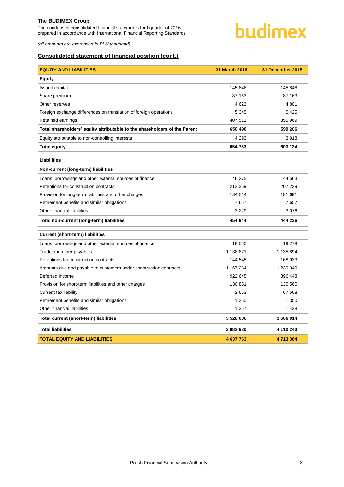The condensed consolidated financial statements for I quarter of 2016 prepared in accordance with International Financial Reporting Standards

# budimex

*(all amounts are expressed in PLN thousand)*

# **Consolidated statement of financial position (cont.)**

| <b>EQUITY AND LIABILITIES</b>                                             | 31 March 2016 | <b>31 December 2015</b> |
|---------------------------------------------------------------------------|---------------|-------------------------|
| <b>Equity</b>                                                             |               |                         |
| <b>Issued capital</b>                                                     | 145 848       | 145 848                 |
| Share premium                                                             | 87 163        | 87 163                  |
| Other reserves                                                            | 4 6 23        | 4 8 0 1                 |
| Foreign exchange differences on translation of foreign operations         | 5 3 4 5       | 5425                    |
| Retained earnings                                                         | 407 511       | 355 969                 |
| Total shareholders' equity attributable to the shareholders of the Parent | 650 490       | 599 206                 |
| Equity attributable to non-controlling interests                          | 4 2 9 3       | 3918                    |
| <b>Total equity</b>                                                       | 654 783       | 603 124                 |
| <b>Liabilities</b>                                                        |               |                         |
| Non-current (long-term) liabilities                                       |               |                         |
| Loans, borrowings and other external sources of finance                   | 46 275        | 44 5 63                 |
| Retentions for construction contracts                                     | 213 269       | 207 239                 |
| Provision for long-term liabilities and other charges                     | 184 514       | 181 691                 |
| Retirement benefits and similar obligations                               | 7657          | 7657                    |
| Other financial liabilities                                               | 3 2 2 9       | 3076                    |
| Total non-current (long-term) liabilities                                 | 454 944       | 444 226                 |
| <b>Current (short-term) liabilities</b>                                   |               |                         |
| Loans, borrowings and other external sources of finance                   | 18 550        | 19778                   |
| Trade and other payables                                                  | 1 138 821     | 1 135 894               |
| Retentions for construction contracts                                     | 144 545       | 168 033                 |
| Amounts due and payable to customers under construction contracts         | 1 167 264     | 1 239 940               |
| Deferred income                                                           | 922 645       | 896 448                 |
| Provision for short-term liabilities and other charges                    | 130 851       | 135 565                 |
| Current tax liability                                                     | 2653          | 67 568                  |
| Retirement benefits and similar obligations                               | 1 3 5 0       | 1 3 5 0                 |
| Other financial liabilities                                               | 1 3 5 7       | 1 4 3 8                 |
| Total current (short-term) liabilities                                    | 3528036       | 3 666 014               |
| <b>Total liabilities</b>                                                  | 3982980       | 4 110 240               |
| <b>TOTAL EQUITY AND LIABILITIES</b>                                       | 4 637 763     | 4713364                 |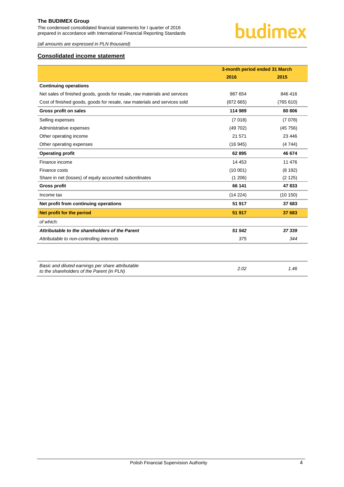The condensed consolidated financial statements for I quarter of 2016 prepared in accordance with International Financial Reporting Standards



*(all amounts are expressed in PLN thousand)*

# <span id="page-4-0"></span>**Consolidated income statement**

|                                                                                                 | 3-month period ended 31 March |           |
|-------------------------------------------------------------------------------------------------|-------------------------------|-----------|
|                                                                                                 | 2016                          | 2015      |
| <b>Continuing operations</b>                                                                    |                               |           |
| Net sales of finished goods, goods for resale, raw materials and services                       | 987 654                       | 846 416   |
| Cost of finished goods, goods for resale, raw materials and services sold                       | (872665)                      | (765 610) |
| Gross profit on sales                                                                           | 114 989                       | 80 806    |
| Selling expenses                                                                                | (7018)                        | (7078)    |
| Administrative expenses                                                                         | (49702)                       | (45756)   |
| Other operating income                                                                          | 21 571                        | 23 4 4 6  |
| Other operating expenses                                                                        | (16945)                       | (4744)    |
| <b>Operating profit</b>                                                                         | 62 895                        | 46 674    |
| Finance income                                                                                  | 14 4 53                       | 11 476    |
| Finance costs                                                                                   | (10001)                       | (8192)    |
| Share in net (losses) of equity accounted subordinates                                          | (1206)                        | (2125)    |
| <b>Gross profit</b>                                                                             | 66 141                        | 47833     |
| Income tax                                                                                      | (14 224)                      | (10150)   |
| Net profit from continuing operations                                                           | 51 917                        | 37 683    |
| Net profit for the period                                                                       | 51 917                        | 37 683    |
| of which:                                                                                       |                               |           |
| Attributable to the shareholders of the Parent                                                  | 51 542                        | 37 339    |
| Attributable to non-controlling interests                                                       | 375                           | 344       |
|                                                                                                 |                               |           |
| Basic and diluted earnings per share attributable<br>to the shareholders of the Parent (in PLN) | 2.02                          | 1.46      |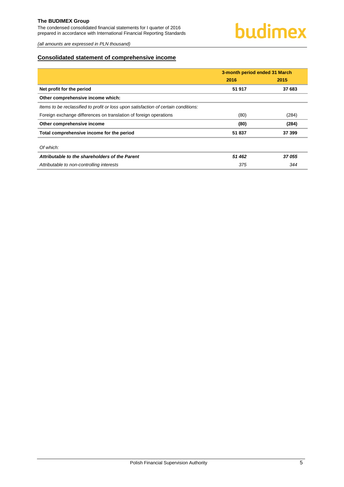The condensed consolidated financial statements for I quarter of 2016 prepared in accordance with International Financial Reporting Standards

*(all amounts are expressed in PLN thousand)*

# <span id="page-5-0"></span>**Consolidated statement of comprehensive income**

|                                                                                     | 3-month period ended 31 March |        |  |
|-------------------------------------------------------------------------------------|-------------------------------|--------|--|
|                                                                                     | 2016                          | 2015   |  |
| Net profit for the period                                                           | 51 917                        | 37 683 |  |
| Other comprehensive income which:                                                   |                               |        |  |
| Items to be reclassified to profit or loss upon satisfaction of certain conditions: |                               |        |  |
| Foreign exchange differences on translation of foreign operations                   | (80)                          | (284)  |  |
| Other comprehensive income                                                          | (80)                          | (284)  |  |
| Total comprehensive income for the period                                           | 51 837                        | 37 399 |  |
| Of which:                                                                           |                               |        |  |
| Attributable to the shareholders of the Parent                                      | 51 462                        | 37055  |  |
| Attributable to non-controlling interests                                           | 375                           | 344    |  |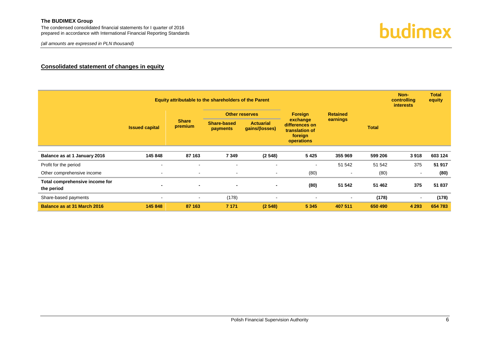# **Consolidated statement of changes in equity**

<span id="page-6-0"></span>

| Equity attributable to the shareholders of the Parent |                       |                         |                                |                                    |                                                                       |          |                 | Non-<br>controlling<br><i>interests</i> | <b>Total</b><br>equity |  |
|-------------------------------------------------------|-----------------------|-------------------------|--------------------------------|------------------------------------|-----------------------------------------------------------------------|----------|-----------------|-----------------------------------------|------------------------|--|
|                                                       |                       |                         |                                |                                    | <b>Other reserves</b>                                                 | Foreign  | <b>Retained</b> |                                         |                        |  |
|                                                       | <b>Issued capital</b> | <b>Share</b><br>premium | <b>Share-based</b><br>payments | <b>Actuarial</b><br>gains/(losses) | exchange<br>differences on<br>translation of<br>foreign<br>operations | earnings | <b>Total</b>    |                                         |                        |  |
| Balance as at 1 January 2016                          | 145 848               | 87 163                  | 7 3 4 9                        | (2548)                             | 5425                                                                  | 355 969  | 599 206         | 3918                                    | 603 124                |  |
| Profit for the period                                 | $\,$ $\,$             | $\blacksquare$          | $\overline{\phantom{a}}$       | $\blacksquare$                     | $\blacksquare$                                                        | 51 542   | 51 542          | 375                                     | 51 917                 |  |
| Other comprehensive income                            | $\sim$                | $\sim$                  | $\overline{\phantom{a}}$       | $\sim$                             | (80)                                                                  |          | (80)            | $\sim$                                  | (80)                   |  |
| Total comprehensive income for<br>the period          | $\blacksquare$        | $\blacksquare$          | $\blacksquare$                 | $\blacksquare$                     | (80)                                                                  | 51 542   | 51 462          | 375                                     | 51 837                 |  |
| Share-based payments                                  | $\,$ $\,$             | $\blacksquare$          | (178)                          | $\blacksquare$                     | $\blacksquare$                                                        | $\sim$   | (178)           | ۰                                       | (178)                  |  |
| Balance as at 31 March 2016                           | 145 848               | 87 163                  | 7 1 7 1                        | (2548)                             | 5 3 4 5                                                               | 407 511  | 650 490         | 4 2 9 3                                 | 654 783                |  |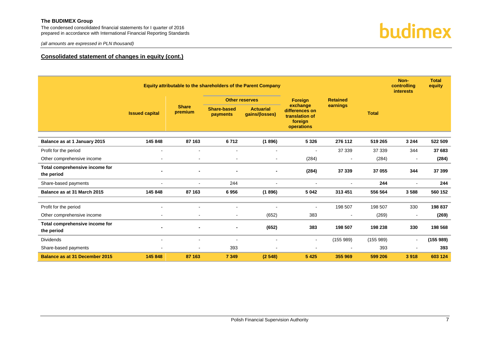The condensed consolidated financial statements for I quarter of 2016 prepared in accordance with International Financial Reporting Standards

*(all amounts are expressed in PLN thousand)*



#### **Consolidated statement of changes in equity (cont.)**

|                                                     | Equity attributable to the shareholders of the Parent Company |                         |                                |                                    |                                                                       |                   |                  | Non-<br>controlling<br><b>interests</b> | <b>Total</b><br>equity |
|-----------------------------------------------------|---------------------------------------------------------------|-------------------------|--------------------------------|------------------------------------|-----------------------------------------------------------------------|-------------------|------------------|-----------------------------------------|------------------------|
|                                                     |                                                               |                         |                                | <b>Other reserves</b>              | <b>Foreign</b>                                                        | <b>Retained</b>   |                  |                                         |                        |
|                                                     | <b>Issued capital</b>                                         | <b>Share</b><br>premium | <b>Share-based</b><br>payments | <b>Actuarial</b><br>gains/(losses) | exchange<br>differences on<br>translation of<br>foreign<br>operations | earnings          | <b>Total</b>     |                                         |                        |
| Balance as at 1 January 2015                        | 145 848                                                       | 87 163                  | 6712                           | (1896)                             | 5 3 2 6                                                               | 276 112           | 519 265          | 3 2 4 4                                 | 522 509                |
| Profit for the period                               |                                                               | $\blacksquare$          | $\overline{\phantom{a}}$       |                                    | $\overline{\phantom{a}}$                                              | 37 339            | 37 339           | 344                                     | 37 683                 |
| Other comprehensive income                          |                                                               |                         | $\overline{\phantom{a}}$       |                                    | (284)                                                                 |                   | (284)            |                                         | (284)                  |
| Total comprehensive income for<br>the period        |                                                               |                         | $\qquad \qquad \blacksquare$   |                                    | (284)                                                                 | 37 339            | 37 055           | 344                                     | 37 399                 |
| Share-based payments                                |                                                               |                         | 244                            |                                    | $\blacksquare$                                                        | $\sim$            | 244              | $\overline{\phantom{a}}$                | 244                    |
| Balance as at 31 March 2015                         | 145 848                                                       | 87 163                  | 6956                           | (1896)                             | 5 0 4 2                                                               | 313 451           | 556 564          | 3588                                    | 560 152                |
| Profit for the period<br>Other comprehensive income |                                                               | $\blacksquare$          | $\blacksquare$                 | (652)                              | $\blacksquare$<br>383                                                 | 198 507<br>$\sim$ | 198 507<br>(269) | 330<br>$\overline{\phantom{a}}$         | 198 837<br>(269)       |
| Total comprehensive income for<br>the period        |                                                               |                         |                                | (652)                              | 383                                                                   | 198 507           | 198 238          | 330                                     | 198 568                |
| <b>Dividends</b>                                    | $\overline{\phantom{a}}$                                      | $\blacksquare$          | $\overline{\phantom{a}}$       | $\overline{\phantom{a}}$           | $\sim$                                                                | (155989)          | (155989)         | $\overline{a}$                          | (155989)               |
| Share-based payments                                |                                                               |                         | 393                            |                                    | $\blacksquare$                                                        |                   | 393              |                                         | 393                    |
| <b>Balance as at 31 December 2015</b>               | 145 848                                                       | 87 163                  | 7 3 4 9                        | (2548)                             | 5 4 2 5                                                               | 355 969           | 599 206          | 3918                                    | 603 124                |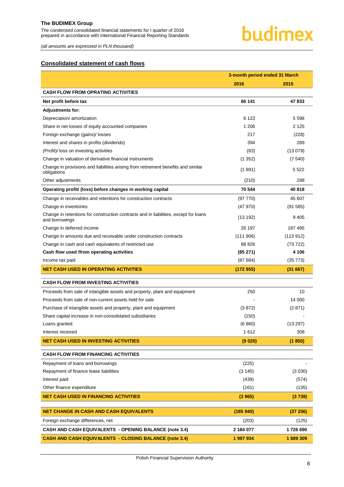*(all amounts are expressed in PLN thousand)*

### <span id="page-8-0"></span>**Consolidated statement of cash flows**

|                                                                                                        | 3-month period ended 31 March |           |  |
|--------------------------------------------------------------------------------------------------------|-------------------------------|-----------|--|
|                                                                                                        | 2016                          | 2015      |  |
| <b>CASH FLOW FROM OPRATING ACTIVITIES</b>                                                              |                               |           |  |
| Net profit before tax                                                                                  | 66 141                        | 47833     |  |
| <b>Adjustments for:</b>                                                                                |                               |           |  |
| Depreciation/ amortization                                                                             | 6 1 2 2                       | 5 5 9 8   |  |
| Share in net losses of equity accounted companies                                                      | 1 206                         | 2 1 2 5   |  |
| Foreign exchange (gains)/ losses                                                                       | 217                           | (228)     |  |
| Interest and shares in profits (dividends)                                                             | 394                           | 289       |  |
| (Profit)/ loss on investing activities                                                                 | (83)                          | (13079)   |  |
| Change in valuation of derivative financial instruments                                                | (1352)                        | (7540)    |  |
| Change in provisions and liabilities arising from retirement benefits and similar<br>obligations       | (1891)                        | 5 5 2 2   |  |
| Other adjustments                                                                                      | (210)                         | 298       |  |
| Operating profit/ (loss) before changes in working capital                                             | 70 544                        | 40818     |  |
| Change in receivables and retentions for construction contracts                                        | (97 770)                      | 45 607    |  |
| Change in inventories                                                                                  | (47 970)                      | (91585)   |  |
| Change in retentions for construction contracts and in liabilities, except for loans<br>and borrowings | (13192)                       | 9405      |  |
| Change in deferred income                                                                              | 26 197                        | 187 495   |  |
| Change in amounts due and receivable under construction contracts                                      | (111906)                      | (113.912) |  |
| Change in cash and cash equivalents of restricted use                                                  | 88 826                        | (73 722)  |  |
| Cash flow used /from operating activities                                                              | (85271)                       | 4 106     |  |
| Income tax paid                                                                                        | (87684)                       | (35 773)  |  |
| <b>NET CASH USED IN OPERATING ACTIVITIES</b>                                                           | (172955)                      | (31667)   |  |
| <b>CASH FLOW FROM INVESTING ACTIVITIES</b>                                                             |                               |           |  |
| Proceeds from sale of intangible assets and property, plant and equipment                              | 250                           | 10        |  |
| Proceeds from sale of non-current assets held for sale                                                 |                               | 14 000    |  |
| Purchase of intangible assets and property, plant and equipment                                        | (3872)                        | (2871)    |  |
| Share capital increase in non-consolidated subsidiaries                                                | (150)                         |           |  |
| Loans granted                                                                                          | (6860)                        | (13 297)  |  |
| Interest received                                                                                      | 1612                          | 308       |  |
| <b>NET CASH USED IN INVESTING ACTIVITIES</b>                                                           | (9 020)                       | (1850)    |  |
| <b>CASH FLOW FROM FINANCING ACTIVITIES</b>                                                             |                               |           |  |
| Repayment of loans and borrowings                                                                      | (225)                         |           |  |
| Repayment of finance lease liabilities                                                                 | (3 140)                       | (3030)    |  |
| Interest paid                                                                                          | (439)                         | (574)     |  |
| Other finance expenditure                                                                              | (161)                         | (135)     |  |
| <b>NET CASH USED IN FINANCING ACTIVITIES</b>                                                           | (3965)                        | (3739)    |  |
| <b>NET CHANGE IN CASH AND CASH EQUIVALENTS</b>                                                         | (185940)                      | (37 256)  |  |
| Foreign exchange differences, net                                                                      | (203)                         | (125)     |  |
| <b>CASH AND CASH EQUIVALENTS - OPENING BALANCE (note 3.4)</b>                                          | 2 184 077                     | 1726 690  |  |
| <b>CASH AND CASH EQUIVALENTS - CLOSING BALANCE (note 3.4)</b>                                          | 1997934                       | 1689309   |  |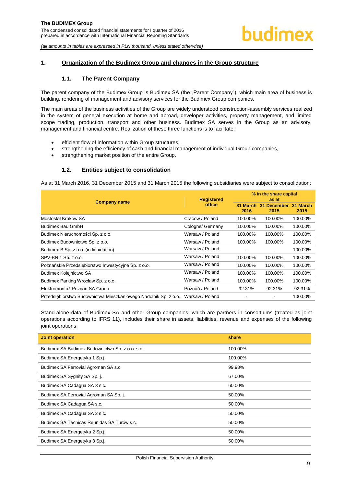#### <span id="page-9-1"></span><span id="page-9-0"></span>**1. Organization of the Budimex Group and changes in the Group structure**

#### **1.1. The Parent Company**

The parent company of the Budimex Group is Budimex SA (the "Parent Company"), which main area of business is building, rendering of management and advisory services for the Budimex Group companies.

The main areas of the business activities of the Group are widely understood construction-assembly services realized in the system of general execution at home and abroad, developer activities, property management, and limited scope trading, production, transport and other business. Budimex SA serves in the Group as an advisory, management and financial centre. Realization of these three functions is to facilitate:

- efficient flow of information within Group structures,
- strengthening the efficiency of cash and financial management of individual Group companies,
- strengthening market position of the entire Group.

#### **1.2. Entities subject to consolidation**

<span id="page-9-2"></span>As at 31 March 2016, 31 December 2015 and 31 March 2015 the following subsidiaries were subject to consolidation:

|                                                                 | <b>Registered</b> |                          | % in the share capital<br>as at       |         |  |  |
|-----------------------------------------------------------------|-------------------|--------------------------|---------------------------------------|---------|--|--|
| <b>Company name</b>                                             | office            | 2016                     | 31 March 31 December 31 March<br>2015 | 2015    |  |  |
| Mostostal Kraków SA                                             | Cracow / Poland   | 100.00%                  | 100.00%                               | 100.00% |  |  |
| Budimex Bau GmbH                                                | Cologne/ Germany  | 100.00%                  | 100.00%                               | 100.00% |  |  |
| Budimex Nieruchomości Sp. z o.o.                                | Warsaw / Poland   | 100.00%                  | 100.00%                               | 100.00% |  |  |
| Budimex Budownictwo Sp. z o.o.                                  | Warsaw / Poland   | 100.00%                  | 100.00%                               | 100.00% |  |  |
| Budimex B Sp. z o.o. (in liquidation)                           | Warsaw / Poland   | $\overline{\phantom{a}}$ |                                       | 100.00% |  |  |
| SPV-BN 1 Sp. z o.o.                                             | Warsaw / Poland   | 100.00%                  | 100.00%                               | 100.00% |  |  |
| Poznańskie Przedsiębiorstwo Inwestycyjne Sp. z o.o.             | Warsaw / Poland   | 100.00%                  | 100.00%                               | 100.00% |  |  |
| Budimex Kolejnictwo SA                                          | Warsaw / Poland   | 100.00%                  | 100.00%                               | 100.00% |  |  |
| Budimex Parking Wrocław Sp. z o.o.                              | Warsaw / Poland   | 100.00%                  | 100.00%                               | 100.00% |  |  |
| Elektromontaż Poznań SA Group                                   | Poznań / Poland   | 92.31%                   | 92.31%                                | 92.31%  |  |  |
| Przedsiębiorstwo Budownictwa Mieszkaniowego Nadolnik Sp. z o.o. | Warsaw / Poland   |                          |                                       | 100.00% |  |  |

Stand-alone data of Budimex SA and other Group companies, which are partners in consortiums (treated as joint operations according to IFRS 11), includes their share in assets, liabilities, revenue and expenses of the following joint operations:

| <b>Joint operation</b>                         | share   |
|------------------------------------------------|---------|
| Budimex SA Budimex Budownictwo Sp. z o.o. s.c. | 100.00% |
| Budimex SA Energetyka 1 Sp.j.                  | 100.00% |
| Budimex SA Ferrovial Agroman SA s.c.           | 99.98%  |
| Budimex SA Sygnity SA Sp. j.                   | 67.00%  |
| Budimex SA Cadagua SA 3 s.c.                   | 60.00%  |
| Budimex SA Ferrovial Agroman SA Sp. j.         | 50.00%  |
| Budimex SA Cadagua SA s.c.                     | 50.00%  |
| Budimex SA Cadagua SA 2 s.c.                   | 50.00%  |
| Budimex SA Tecnicas Reunidas SA Turów s.c.     | 50.00%  |
| Budimex SA Energetyka 2 Sp.j.                  | 50.00%  |
| Budimex SA Energetyka 3 Sp.j.                  | 50.00%  |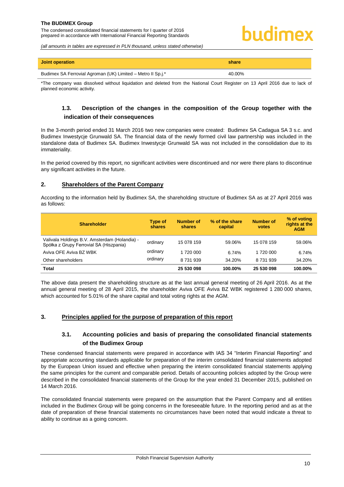# uıdimex

*(all amounts in tables are expressed in PLN thousand, unless stated otherwise)*

| Joint operation                                             | share  |
|-------------------------------------------------------------|--------|
| Budimex SA Ferrovial Agroman (UK) Limited – Metro II Sp.j.* | 40.00% |

<span id="page-10-0"></span>\*The company was dissolved without liquidation and deleted from the National Court Register on 13 April 2016 due to lack of planned economic activity.

# **1.3. Description of the changes in the composition of the Group together with the indication of their consequences**

In the 3-month period ended 31 March 2016 two new companies were created: Budimex SA Cadagua SA 3 s.c. and Budimex Inwestycje Grunwald SA. The financial data of the newly formed civil law partnership was included in the standalone data of Budimex SA. Budimex Inwestycje Grunwald SA was not included in the consolidation due to its immateriality.

In the period covered by this report, no significant activities were discontinued and nor were there plans to discontinue any significant activities in the future.

#### <span id="page-10-1"></span>**2. Shareholders of the Parent Company**

According to the information held by Budimex SA, the shareholding structure of Budimex SA as at 27 April 2016 was as follows:

| <b>Shareholder</b>                                                                       | Type of<br>shares | <b>Number of</b><br>shares | % of the share<br>capital | <b>Number of</b><br><b>votes</b> | % of voting<br>rights at the<br><b>AGM</b> |
|------------------------------------------------------------------------------------------|-------------------|----------------------------|---------------------------|----------------------------------|--------------------------------------------|
| Valivala Holdings B.V. Amsterdam (Holandia) -<br>Spółka z Grupy Ferrovial SA (Hiszpania) | ordinary          | 15 078 159                 | 59.06%                    | 15 078 159                       | 59.06%                                     |
| Aviva OFE Aviva BZ WBK                                                                   | ordinary          | 1 720 000                  | 6.74%                     | 1 720 000                        | 6.74%                                      |
| Other shareholders                                                                       | ordinary          | 8 731 939                  | 34.20%                    | 8 731 939                        | 34.20%                                     |
| <b>Total</b>                                                                             |                   | 25 530 098                 | 100.00%                   | 25 530 098                       | 100.00%                                    |

The above data present the shareholding structure as at the last annual general meeting of 26 April 2016. As at the annual general meeting of 28 April 2015, the shareholder Aviva OFE Aviva BZ WBK registered 1 280 000 shares, which accounted for 5.01% of the share capital and total voting rights at the AGM.

#### <span id="page-10-3"></span><span id="page-10-2"></span>**3. Principles applied for the purpose of preparation of this report**

# **3.1. Accounting policies and basis of preparing the consolidated financial statements of the Budimex Group**

These condensed financial statements were prepared in accordance with IAS 34 "Interim Financial Reporting" and appropriate accounting standards applicable for preparation of the interim consolidated financial statements adopted by the European Union issued and effective when preparing the interim consolidated financial statements applying the same principles for the current and comparable period. Details of accounting policies adopted by the Group were described in the consolidated financial statements of the Group for the year ended 31 December 2015, published on 14 March 2016.

The consolidated financial statements were prepared on the assumption that the Parent Company and all entities included in the Budimex Group will be going concerns in the foreseeable future. In the reporting period and as at the date of preparation of these financial statements no circumstances have been noted that would indicate a threat to ability to continue as a going concern.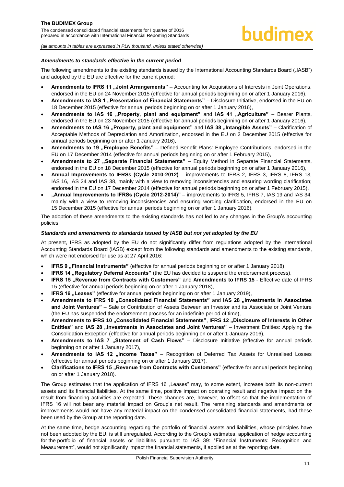#### *Amendments to standards effective in the current period*

The following amendments to the existing standards issued by the International Accounting Standards Board ("IASB") and adopted by the EU are effective for the current period:

- **Amendments to IFRS 11 "Joint Arrangements"** Accounting for Acquisitions of Interests in Joint Operations, endorsed in the EU on 24 November 2015 (effective for annual periods beginning on or after 1 January 2016),
- Amendments to IAS 1 ..Presentation of Financial Statements" Disclosure Initiative, endorsed in the EU on 18 December 2015 (effective for annual periods beginning on or after 1 January 2016),
- Amendments to IAS 16 "Property, plant and equipment" and IAS 41 "Agriculture" Bearer Plants, endorsed in the EU on 23 November 2015 (effective for annual periods beginning on or after 1 January 2016),
- Amendments to IAS 16 "Property, plant and equipment" and IAS 38 "Intangible Assets" Clarification of Acceptable Methods of Depreciation and Amortization, endorsed in the EU on 2 December 2015 (effective for annual periods beginning on or after 1 January 2016),
- Amendments to 19 .Employee Benefits" Defined Benefit Plans: Employee Contributions, endorsed in the EU on 17 December 2014 (effective for annual periods beginning on or after 1 February 2015),
- Amendments to 27 "Separate Financial Statements" Equity Method in Separate Financial Statements, endorsed in the EU on 18 December 2015 (effective for annual periods beginning on or after 1 January 2016),
- **Annual Improvements to IFRSs (Cycle 2010-2012)** improvements to IFRS 2, IFRS 3, IFRS 8, IFRS 13, IAS 16, IAS 24 and IAS 38, mainly with a view to removing inconsistencies and ensuring wording clarification; endorsed in the EU on 17 December 2014 (effective for annual periods beginning on or after 1 February 2015),
- **"Annual Improvements to IFRSs (Cycle 2012-2014)"** improvements to IFRS 5, IFRS 7, IAS 19 and IAS 34, mainly with a view to removing inconsistencies and ensuring wording clarification, endorsed in the EU on 15 December 2015 (effective for annual periods beginning on or after 1 January 2016).

The adoption of these amendments to the existing standards has not led to any changes in the Group's accounting policies.

#### *Standards and amendments to standards issued by IASB but not yet adopted by the EU*

At present, IFRS as adopted by the EU do not significantly differ from regulations adopted by the International Accounting Standards Board (IASB) except from the following standards and amendments to the existing standards, which were not endorsed for use as at 27 April 2016:

- **IFRS 9** "Financial Instruments" (effective for annual periods beginning on or after 1 January 2018),
- **IFRS 14 "Regulatory Deferral Accounts"** (the EU has decided to suspend the endorsement process),
- **IFRS 15 "Revenue from Contracts with Customers"** and **Amendments to IFRS 15** Effective date of IFRS 15 (effective for annual periods beginning on or after 1 January 2018),
- **IFRS 16** "Leases" (effective for annual periods beginning on or after 1 January 2019),
- Amendments to IFRS 10 .Consolidated Financial Statements" and IAS 28 .Investments in Associates **and Joint Ventures"** – Sale or Contribution of Assets Between an Investor and its Associate or Joint Venture (the EU has suspended the endorsement process for an indefinite period of time),
- **Amendments to IFRS 10 "Consolidated Financial Statements"**, **IFRS 12 "Disclosure of Interests in Other Entities"** and IAS 28 "Investments in Associates and Joint Ventures" – Investment Entities: Applying the Consolidation Exception (effective for annual periods beginning on or after 1 January 2016),
- Amendments to IAS 7 "Statement of Cash Flows" Disclosure Initiative (effective for annual periods beginning on or after 1 January 2017),
- Amendments to IAS 12 "Income Taxes" Recognition of Deferred Tax Assets for Unrealised Losses (effective for annual periods beginning on or after 1 January 2017),
- **Clarifications to IFRS 15 "Revenue from Contracts with Customers"** (effective for annual periods beginning on or after 1 January 2018).

The Group estimates that the application of IFRS 16 "Leases" may, to some extent, increase both its non-current assets and its financial liabilities. At the same time, positive impact on operating result and negative impact on the result from financing activities are expected. These changes are, however, to offset so that the implementation of IFRS 16 will not bear any material impact on Group's net result. The remaining standards and amendments or improvements would not have any material impact on the condensed consolidated financial statements, had these been used by the Group at the reporting date.

At the same time, hedge accounting regarding the portfolio of financial assets and liabilities, whose principles have not been adopted by the EU, is still unregulated. According to the Group's estimates, application of hedge accounting for the portfolio of financial assets or liabilities pursuant to IAS 39: "Financial Instruments: Recognition and Measurement", would not significantly impact the financial statements, if applied as at the reporting date.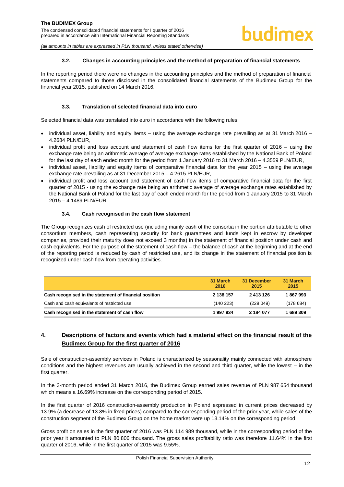#### **3.2. Changes in accounting principles and the method of preparation of financial statements**

<span id="page-12-0"></span>In the reporting period there were no changes in the accounting principles and the method of preparation of financial statements compared to those disclosed in the consolidated financial statements of the Budimex Group for the financial year 2015, published on 14 March 2016.

#### **3.3. Translation of selected financial data into euro**

<span id="page-12-1"></span>Selected financial data was translated into euro in accordance with the following rules:

- $\bullet$  individual asset, liability and equity items using the average exchange rate prevailing as at 31 March 2016 4.2684 PLN/EUR,
- individual profit and loss account and statement of cash flow items for the first quarter of 2016 using the exchange rate being an arithmetic average of average exchange rates established by the National Bank of Poland for the last day of each ended month for the period from 1 January 2016 to 31 March 2016 – 4.3559 PLN/EUR,
- individual asset, liability and equity items of comparative financial data for the year 2015 using the average exchange rate prevailing as at 31 December 2015 – 4.2615 PLN/EUR,
- individual profit and loss account and statement of cash flow items of comparative financial data for the first quarter of 2015 - using the exchange rate being an arithmetic average of average exchange rates established by the National Bank of Poland for the last day of each ended month for the period from 1 January 2015 to 31 March 2015 – 4.1489 PLN/EUR.

#### **3.4. Cash recognised in the cash flow statement**

<span id="page-12-2"></span>The Group recognizes cash of restricted use (including mainly cash of the consortia in the portion attributable to other consortium members, cash representing security for bank guarantees and funds kept in escrow by developer companies, provided their maturity does not exceed 3 months) in the statement of financial position under cash and cash equivalents. For the purpose of the statement of cash flow – the balance of cash at the beginning and at the end of the reporting period is reduced by cash of restricted use, and its change in the statement of financial position is recognized under cash flow from operating activities.

|                                                        | 31 March<br>2016 | 31 December<br>2015 | 31 March<br>2015 |
|--------------------------------------------------------|------------------|---------------------|------------------|
| Cash recognised in the statement of financial position | 2 138 157        | 2 413 126           | 1867993          |
| Cash and cash equivalents of restricted use            | (140223)         | (229049)            | (178684)         |
| Cash recognised in the statement of cash flow          | 1997934          | 2 184 077           | 689 309          |

# <span id="page-12-3"></span>**4. Descriptions of factors and events which had a material effect on the financial result of the Budimex Group for the first quarter of 2016**

Sale of construction-assembly services in Poland is characterized by seasonality mainly connected with atmosphere conditions and the highest revenues are usually achieved in the second and third quarter, while the lowest – in the first quarter.

In the 3-month period ended 31 March 2016, the Budimex Group earned sales revenue of PLN 987 654 thousand which means a 16.69% increase on the corresponding period of 2015.

In the first quarter of 2016 construction-assembly production in Poland expressed in current prices decreased by 13.9% (a decrease of 13.3% in fixed prices) compared to the corresponding period of the prior year, while sales of the construction segment of the Budimex Group on the home market were up 13.14% on the corresponding period.

Gross profit on sales in the first quarter of 2016 was PLN 114 989 thousand, while in the corresponding period of the prior year it amounted to PLN 80 806 thousand. The gross sales profitability ratio was therefore 11.64% in the first quarter of 2016, while in the first quarter of 2015 was 9.55%.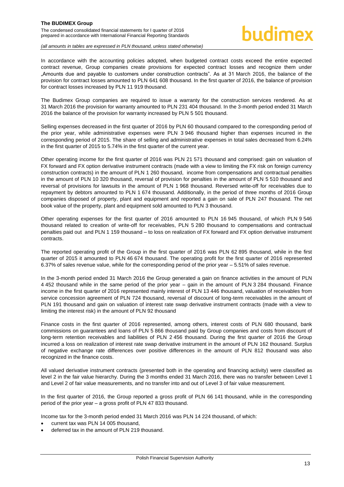In accordance with the accounting policies adopted, when budgeted contract costs exceed the entire expected contract revenue, Group companies create provisions for expected contract losses and recognize them under "Amounts due and payable to customers under construction contracts‖. As at 31 March 2016, the balance of the provision for contract losses amounted to PLN 641 608 thousand. In the first quarter of 2016, the balance of provision for contract losses increased by PLN 11 919 thousand.

The Budimex Group companies are required to issue a warranty for the construction services rendered. As at 31 March 2016 the provision for warranty amounted to PLN 231 404 thousand. In the 3-month period ended 31 March 2016 the balance of the provision for warranty increased by PLN 5 501 thousand.

Selling expenses decreased in the first quarter of 2016 by PLN 60 thousand compared to the corresponding period of the prior year, while administrative expenses were PLN 3 946 thousand higher than expenses incurred in the corresponding period of 2015. The share of selling and administrative expenses in total sales decreased from 6.24% in the first quarter of 2015 to 5.74% in the first quarter of the current year.

Other operating income for the first quarter of 2016 was PLN 21 571 thousand and comprised: gain on valuation of FX forward and FX option derivative instrument contracts (made with a view to limiting the FX risk on foreign currency construction contracts) in the amount of PLN 1 260 thousand, income from compensations and contractual penalties in the amount of PLN 10 320 thousand, reversal of provision for penalties in the amount of PLN 5 510 thousand and reversal of provisions for lawsuits in the amount of PLN 1 968 thousand. Reversed write-off for receivables due to repayment by debtors amounted to PLN 1 674 thousand. Additionally, in the period of three months of 2016 Group companies disposed of property, plant and equipment and reported a gain on sale of PLN 247 thousand. The net book value of the property, plant and equipment sold amounted to PLN 3 thousand.

Other operating expenses for the first quarter of 2016 amounted to PLN 16 945 thousand, of which PLN 9 546 thousand related to creation of write-off for receivables, PLN 5 280 thousand to compensations and contractual penalties paid out and PLN 1 159 thousand – to loss on realization of FX forward and FX option derivative instrument contracts.

The reported operating profit of the Group in the first quarter of 2016 was PLN 62 895 thousand, while in the first quarter of 2015 it amounted to PLN 46 674 thousand. The operating profit for the first quarter of 2016 represented 6.37% of sales revenue value, while for the corresponding period of the prior year – 5.51% of sales revenue.

In the 3-month period ended 31 March 2016 the Group generated a gain on finance activities in the amount of PLN 4 452 thousand while in the same period of the prior year – gain in the amount of PLN 3 284 thousand. Finance income in the first quarter of 2016 represented mainly interest of PLN 13 446 thousand, valuation of receivables from service concession agreement of PLN 724 thousand, reversal of discount of long-term receivables in the amount of PLN 191 thousand and gain on valuation of interest rate swap derivative instrument contracts (made with a view to limiting the interest risk) in the amount of PLN 92 thousand

Finance costs in the first quarter of 2016 represented, among others, interest costs of PLN 680 thousand, bank commissions on guarantees and loans of PLN 5 866 thousand paid by Group companies and costs from discount of long-term retention receivables and liabilities of PLN 2 456 thousand. During the first quarter of 2016 the Group incurred a loss on realization of interest rate swap derivative instrument in the amount of PLN 162 thousand. Surplus of negative exchange rate differences over positive differences in the amount of PLN 812 thousand was also recognized in the finance costs.

All valued derivative instrument contracts (presented both in the operating and financing activity) were classified as level 2 in the fair value hierarchy. During the 3 months ended 31 March 2016, there was no transfer between Level 1 and Level 2 of fair value measurements, and no transfer into and out of Level 3 of fair value measurement.

In the first quarter of 2016, the Group reported a gross profit of PLN 66 141 thousand, while in the corresponding period of the prior year – a gross profit of PLN 47 833 thousand.

Income tax for the 3-month period ended 31 March 2016 was PLN 14 224 thousand, of which:

- current tax was PLN 14 005 thousand,
- deferred tax in the amount of PLN 219 thousand.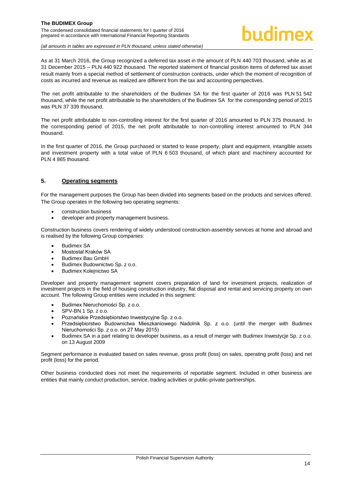### **The BUDIMEX Group**  The condensed consolidated financial statements for I quarter of 2016

prepared in accordance with International Financial Reporting Standards

# hudimex

*(all amounts in tables are expressed in PLN thousand, unless stated otherwise)*

As at 31 March 2016, the Group recognized a deferred tax asset in the amount of PLN 440 703 thousand, while as at 31 December 2015 – PLN 440 922 thousand. The reported statement of financial position items of deferred tax asset result mainly from a special method of settlement of construction contracts, under which the moment of recognition of costs as incurred and revenue as realized are different from the tax and accounting perspectives.

The net profit attributable to the shareholders of the Budimex SA for the first quarter of 2016 was PLN 51 542 thousand, while the net profit attributable to the shareholders of the Budimex SA for the corresponding period of 2015 was PLN 37 339 thousand.

The net profit attributable to non-controlling interest for the first quarter of 2016 amounted to PLN 375 thousand. In the corresponding period of 2015, the net profit attributable to non-controlling interest amounted to PLN 344 thousand.

In the first quarter of 2016, the Group purchased or started to lease property, plant and equipment, intangible assets and investment property with a total value of PLN 6 503 thousand, of which plant and machinery accounted for PLN 4 865 thousand.

# <span id="page-14-0"></span>**5. Operating segments**

For the management purposes the Group has been divided into segments based on the products and services offered. The Group operates in the following two operating segments:

- construction business
- developer and property management business.

Construction business covers rendering of widely understood construction-assembly services at home and abroad and is realised by the following Group companies:

- Budimex SA
- Mostostal Kraków SA
- Budimex Bau GmbH
- Budimex Budownictwo Sp. z o.o.
- Budimex Kolejnictwo SA

Developer and property management segment covers preparation of land for investment projects, realization of investment projects in the field of housing construction industry, flat disposal and rental and servicing property on own account. The following Group entities were included in this segment:

- Budimex Nieruchomości Sp. z o.o.
- SPV-BN 1 Sp. z o.o.
- Poznańskie Przedsiębiorstwo Inwestycyjne Sp. z o.o.
- Przedsiębiorstwo Budownictwa Mieszkaniowego Nadolnik Sp. z o.o. (until the merger with Budimex Nieruchomości Sp. z o.o. on 27 May 2015)
- Budimex SA in a part relating to developer business, as a result of merger with Budimex Inwestycje Sp. z o.o. on 13 August 2009

Segment performance is evaluated based on sales revenue, gross profit (loss) on sales, operating profit (loss) and net profit (loss) for the period.

Other business conducted does not meet the requirements of reportable segment. Included in other business are entities that mainly conduct production, service, trading activities or public-private partnerships.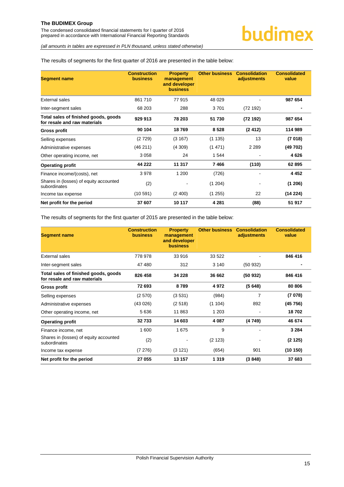*(all amounts in tables are expressed in PLN thousand, unless stated otherwise)*

#### The results of segments for the first quarter of 2016 are presented in the table below:

| <b>Segment name</b>                                                  | <b>Construction</b><br><b>business</b> | <b>Property</b><br>management<br>and developer<br><b>business</b> | <b>Other business</b> | <b>Consolidation</b><br>adjustments | <b>Consolidated</b><br>value |
|----------------------------------------------------------------------|----------------------------------------|-------------------------------------------------------------------|-----------------------|-------------------------------------|------------------------------|
| External sales                                                       | 861710                                 | 77 915                                                            | 48 0 29               |                                     | 987 654                      |
| Inter-segment sales                                                  | 68 203                                 | 288                                                               | 3701                  | (72192)                             |                              |
| Total sales of finished goods, goods<br>for resale and raw materials | 929 913                                | 78 203                                                            | 51 730                | (72192)                             | 987 654                      |
| Gross profit                                                         | 90 104                                 | 18769                                                             | 8528                  | (2412)                              | 114 989                      |
| Selling expenses                                                     | (2729)                                 | (3167)                                                            | (1135)                | 13                                  | (7018)                       |
| Administrative expenses                                              | (46211)                                | (4309)                                                            | (1471)                | 2 2 8 9                             | (49 702)                     |
| Other operating income, net                                          | 3058                                   | 24                                                                | 1 544                 |                                     | 4626                         |
| <b>Operating profit</b>                                              | 44 222                                 | 11 317                                                            | 7466                  | (110)                               | 62 895                       |
| Finance income/(costs), net                                          | 3978                                   | 1 200                                                             | (726)                 |                                     | 4 4 5 2                      |
| Shares in (losses) of equity accounted<br>subordinates               | (2)                                    | ۰                                                                 | (1 204)               |                                     | (1206)                       |
| Income tax expense                                                   | (10591)                                | (2400)                                                            | (1255)                | 22                                  | (14224)                      |
| Net profit for the period                                            | 37 607                                 | 10 117                                                            | 4 2 8 1               | (88)                                | 51 917                       |

The results of segments for the first quarter of 2015 are presented in the table below:

| <b>Segment name</b>                                                  | <b>Construction</b><br><b>business</b> | <b>Property</b><br>management<br>and developer<br><b>business</b> | <b>Other business</b> | <b>Consolidation</b><br>adjustments | <b>Consolidated</b><br>value |
|----------------------------------------------------------------------|----------------------------------------|-------------------------------------------------------------------|-----------------------|-------------------------------------|------------------------------|
| <b>External sales</b>                                                | 778 978                                | 33 916                                                            | 33 522                |                                     | 846 416                      |
| Inter-segment sales                                                  | 47480                                  | 312                                                               | 3 140                 | (50932)                             |                              |
| Total sales of finished goods, goods<br>for resale and raw materials | 826 458                                | 34 228                                                            | 36 662                | (50932)                             | 846 416                      |
| <b>Gross profit</b>                                                  | 72 693                                 | 8789                                                              | 4972                  | (5648)                              | 80 80 6                      |
| Selling expenses                                                     | (2570)                                 | (3531)                                                            | (984)                 | 7                                   | (7078)                       |
| Administrative expenses                                              | (43026)                                | (2518)                                                            | (1104)                | 892                                 | (45 756)                     |
| Other operating income, net                                          | 5636                                   | 11 863                                                            | 1 203                 |                                     | 18702                        |
| <b>Operating profit</b>                                              | 32733                                  | 14 603                                                            | 4 0 8 7               | (4749)                              | 46 674                       |
| Finance income, net                                                  | 1600                                   | 1675                                                              | 9                     |                                     | 3 2 8 4                      |
| Shares in (losses) of equity accounted<br>subordinates               | (2)                                    |                                                                   | (2 123)               |                                     | (2125)                       |
| Income tax expense                                                   | (7276)                                 | (3 121)                                                           | (654)                 | 901                                 | (10150)                      |
| Net profit for the period                                            | 27 055                                 | 13 157                                                            | 1 3 1 9               | (3848)                              | 37 683                       |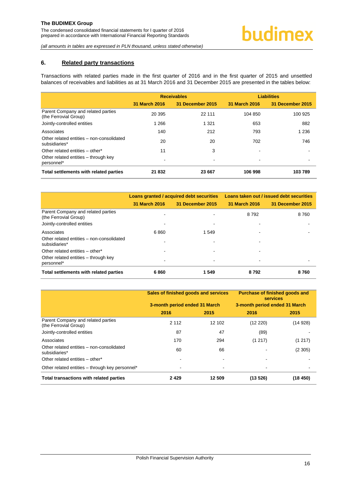### <span id="page-16-0"></span>**6. Related party transactions**

Transactions with related parties made in the first quarter of 2016 and in the first quarter of 2015 and unsettled balances of receivables and liabilities as at 31 March 2016 and 31 December 2015 are presented in the tables below:

|                                                             |               | <b>Receivables</b>       |               | <b>Liabilities</b>      |
|-------------------------------------------------------------|---------------|--------------------------|---------------|-------------------------|
|                                                             | 31 March 2016 | 31 December 2015         | 31 March 2016 | <b>31 December 2015</b> |
| Parent Company and related parties<br>(the Ferrovial Group) | 20 395        | 22 111                   | 104 850       | 100 925                 |
| Jointly-controlled entities                                 | 1 2 6 6       | 1 3 2 1                  | 653           | 882                     |
| Associates                                                  | 140           | 212                      | 793           | 1 2 3 6                 |
| Other related entities - non-consolidated<br>subsidiaries*  | 20            | 20                       | 702           | 746                     |
| Other related entities – other*                             | 11            | 3                        | ۰             |                         |
| Other related entities – through key<br>personnel*          |               | $\overline{\phantom{0}}$ | ۰             |                         |
| Total settlements with related parties                      | 21832         | 23 667                   | 106 998       | 103789                  |

|                                                             | Loans granted / acquired debt securities |                  | Loans taken out / issued debt securities |                  |  |
|-------------------------------------------------------------|------------------------------------------|------------------|------------------------------------------|------------------|--|
|                                                             | 31 March 2016                            | 31 December 2015 | 31 March 2016                            | 31 December 2015 |  |
| Parent Company and related parties<br>(the Ferrovial Group) |                                          |                  | 8 7 9 2                                  | 8760             |  |
| Jointly-controlled entities                                 |                                          |                  |                                          |                  |  |
| Associates                                                  | 6860                                     | 1 5 4 9          |                                          |                  |  |
| Other related entities - non-consolidated<br>subsidiaries*  |                                          |                  |                                          |                  |  |
| Other related entities - other*                             |                                          |                  |                                          |                  |  |
| Other related entities – through key<br>personnel*          |                                          |                  | $\blacksquare$                           |                  |  |
| Total settlements with related parties                      | 6860                                     | 1 549            | 8792                                     | 8760             |  |

|                                                             | Sales of finished goods and services |                          | <b>Purchase of finished goods and</b><br><b>services</b> |         |
|-------------------------------------------------------------|--------------------------------------|--------------------------|----------------------------------------------------------|---------|
|                                                             | 3-month period ended 31 March        |                          | 3-month period ended 31 March                            |         |
|                                                             | 2016                                 | 2015                     | 2016                                                     | 2015    |
| Parent Company and related parties<br>(the Ferrovial Group) | 2 1 1 2                              | 12 102                   | (12 220)                                                 | (14928) |
| Jointly-controlled entities                                 | 87                                   | 47                       | (89)                                                     |         |
| Associates                                                  | 170                                  | 294                      | (1217)                                                   | (1217)  |
| Other related entities – non-consolidated<br>subsidiaries*  | 60                                   | 66                       |                                                          | (2305)  |
| Other related entities - other*                             |                                      |                          |                                                          |         |
| Other related entities - through key personnel*             |                                      | $\overline{\phantom{a}}$ |                                                          |         |
| Total transactions with related parties                     | 2429                                 | 12 509                   | (13526)                                                  | (18450) |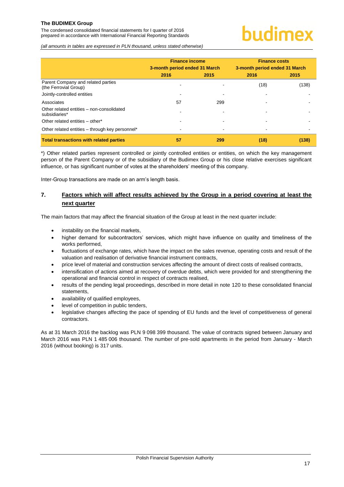The condensed consolidated financial statements for I quarter of 2016 prepared in accordance with International Financial Reporting Standards

# undimex

*(all amounts in tables are expressed in PLN thousand, unless stated otherwise)*

|                                                             | <b>Finance income</b><br>3-month period ended 31 March |      | <b>Finance costs</b><br>3-month period ended 31 March |       |
|-------------------------------------------------------------|--------------------------------------------------------|------|-------------------------------------------------------|-------|
|                                                             | 2016                                                   | 2015 | 2016                                                  | 2015  |
| Parent Company and related parties<br>(the Ferrovial Group) |                                                        |      | (18)                                                  | (138) |
| Jointly-controlled entities                                 |                                                        |      |                                                       |       |
| Associates                                                  | 57                                                     | 299  |                                                       |       |
| Other related entities - non-consolidated<br>subsidiaries*  |                                                        |      |                                                       |       |
| Other related entities - other*                             |                                                        |      |                                                       |       |
| Other related entities - through key personnel*             |                                                        |      |                                                       |       |
| <b>Total transactions with related parties</b>              | 57                                                     | 299  | (18)                                                  | (138) |

\*) Other related parties represent controlled or jointly controlled entities or entities, on which the key management person of the Parent Company or of the subsidiary of the Budimex Group or his close relative exercises significant influence, or has significant number of votes at the shareholders' meeting of this company.

Inter-Group transactions are made on an arm's length basis.

# <span id="page-17-0"></span>**7. Factors which will affect results achieved by the Group in a period covering at least the next quarter**

The main factors that may affect the financial situation of the Group at least in the next quarter include:

- instability on the financial markets,
- higher demand for subcontractors' services, which might have influence on quality and timeliness of the works performed,
- fluctuations of exchange rates, which have the impact on the sales revenue, operating costs and result of the valuation and realisation of derivative financial instrument contracts,
- price level of material and construction services affecting the amount of direct costs of realised contracts,
- intensification of actions aimed at recovery of overdue debts, which were provided for and strengthening the operational and financial control in respect of contracts realised,
- results of the pending legal proceedings, described in more detail in note 1[20](#page-19-3) to these consolidated financial statements,
- availability of qualified employees,
- level of competition in public tenders,
- legislative changes affecting the pace of spending of EU funds and the level of competitiveness of general contractors.

As at 31 March 2016 the backlog was PLN 9 098 399 thousand. The value of contracts signed between January and March 2016 was PLN 1 485 006 thousand. The number of pre-sold apartments in the period from January - March 2016 (without booking) is 317 units.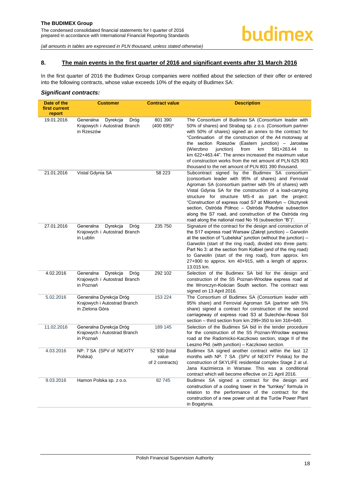#### <span id="page-18-0"></span>**8. The main events in the first quarter of 2016 and significant events after 31 March 2016**

In the first quarter of 2016 the Budimex Group companies were notified about the selection of their offer or entered into the following contracts, whose value exceeds 10% of the equity of Budimex SA:

#### *Significant contracts:*

| Date of the<br>first current<br>report | <b>Customer</b>                                                             | <b>Contract value</b>                     | <b>Description</b>                                                                                                                                                                                                                                                                                                                                                                                                                                                                                                                   |
|----------------------------------------|-----------------------------------------------------------------------------|-------------------------------------------|--------------------------------------------------------------------------------------------------------------------------------------------------------------------------------------------------------------------------------------------------------------------------------------------------------------------------------------------------------------------------------------------------------------------------------------------------------------------------------------------------------------------------------------|
| 19.01.2016                             | Generalna<br>Dyrekcja<br>Dróg<br>Krajowych i Autostrad Branch<br>in Rzeszów | 801 390<br>$(400695)^{*}$                 | The Consortium of Budimex SA (Consortium leader with<br>50% of shares) and Strabag sp. z o.o. (Consortium partner<br>with 50% of shares) signed an annex to the contract for<br>"Continuation of the construction of the A4 motorway at<br>the section Rzeszów (Eastern junction) - Jarosław<br>(Wierzbno<br>junction)<br>from<br>km<br>581+263.44<br>to<br>km 622+463.44". The annex increased the maximum value<br>of construction works from the net amount of PLN 625 903<br>thousand to the net amount of PLN 801 390 thousand. |
| 21.01.2016                             | Vistal Gdynia SA                                                            | 58 223                                    | Subcontract signed by the Budimex SA consortium<br>(consortium leader with 95% of shares) and Ferrovial<br>Agroman SA (consortium partner with 5% of shares) with<br>Vistal Gdynia SA for the construction of a load-carrying<br>structure for structure MS-4 as part the project:<br>"Construction of express road S7 at Miłomłyn – Olsztynek<br>section, Ostróda Północ - Ostróda Południe subsection<br>along the S7 road, and construction of the Ostróda ring<br>road along the national road No 16 (subsection "B")".          |
| 27.01.2016                             | Generalna<br>Dyrekcja<br>Dróg<br>Krajowych i Autostrad Branch<br>in Lublin  | 235 750                                   | Signature of the contract for the design and construction of<br>the S17 express road Warsaw (Zakret junction) – Garwolin<br>at the section of "Lubelska" junction (without the junction) –<br>Garwolin (start of the ring road), divided into three parts:<br>Part No 3: at the section from Kolbiel (end of the ring road)<br>to Garwolin (start of the ring road), from approx. km<br>27+900 to approx. km 40+915, with a length of approx.<br>13.015 km.                                                                          |
| 4.02.2016                              | Generalna<br>Dyrekcja<br>Dróg<br>Krajowych i Autostrad Branch<br>in Poznań  | 292 102                                   | Selection of the Budimex SA bid for the design and<br>construction of the S5 Poznan-Wrocław express road at<br>the Wronczyn-Kościan South section. The contract was<br>signed on 13 April 2016.                                                                                                                                                                                                                                                                                                                                      |
| 5.02.2016                              | Generalna Dyrekcja Dróg<br>Krajowych i Autostrad Branch<br>in Zielona Góra  | 153 224                                   | The Consortium of Budimex SA (Consortium leader with<br>95% share) and Ferrovial Agroman SA (partner with 5%<br>share) signed a contract for construction of the second<br>carriageway of express road S3 at Sulechów-Nowa Sól<br>section - third section from km 299+350 to km 316+640.                                                                                                                                                                                                                                             |
| 11.02.2016                             | Generalna Dyrekcja Dróg<br>Krajowych i Autostrad Branch<br>in Poznań        | 189 145                                   | Selection of the Budimex SA bid in the tender procedure<br>for the construction of the S5 Poznan-Wrocław express<br>road at the Radomicko-Kaczkowo section, stage II of the<br>Leszno Płd. (with junction) – Kaczkowo section.                                                                                                                                                                                                                                                                                                       |
| 4.03.2016                              | NP. 7 SA (SPV of NEXITY<br>Polska)                                          | 52 930 (total<br>value<br>of 2 contracts) | Budimex SA signed another contract within the last 12<br>months with NP. 7 SA (SPV of NEXITY Polska) for the<br>construction of SKYLIFE residential complex Stage 2 at ul.<br>Jana Kazimierza in Warsaw. This was a conditional<br>contract which will become effective on 21 April 2016.                                                                                                                                                                                                                                            |
| 9.03.2016                              | Hamon Polska sp. z o.o.                                                     | 82745                                     | Budimex SA signed a contract for the design and<br>construction of a cooling tower in the "turnkey" formula in<br>relation to the performance of the contract for the<br>construction of a new power unit at the Turów Power Plant<br>in Bogatynia.                                                                                                                                                                                                                                                                                  |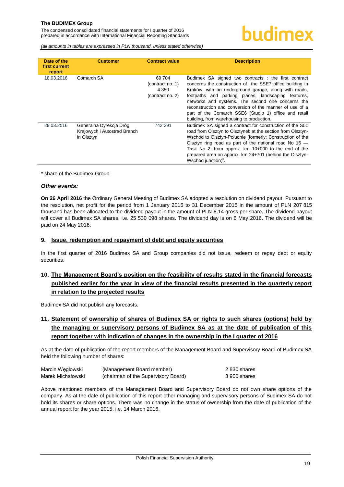*(all amounts in tables are expressed in PLN thousand, unless stated otherwise)*

| Date of the<br>first current<br>report | <b>Customer</b>                                                       | <b>Contract value</b>                                     | <b>Description</b>                                                                                                                                                                                                                                                                                                                                                                                                                                     |
|----------------------------------------|-----------------------------------------------------------------------|-----------------------------------------------------------|--------------------------------------------------------------------------------------------------------------------------------------------------------------------------------------------------------------------------------------------------------------------------------------------------------------------------------------------------------------------------------------------------------------------------------------------------------|
| 18.03.2016                             | Comarch SA                                                            | 69 704<br>(contract no. 1)<br>4 3 5 0<br>(contract no. 2) | Budimex SA signed two contracts : the first contract<br>concerns the construction of the SSE7 office building in<br>Kraków, with an underground garage, along with roads,<br>footpaths and parking places, landscaping features,<br>networks and systems. The second one concerns the<br>reconstruction and conversion of the manner of use of a<br>part of the Comarch SSE6 (Studio 1) office and retail<br>building, from warehousing to production. |
| 29.03.2016                             | Generalna Dyrekcja Dróg<br>Krajowych i Autostrad Branch<br>in Olsztyn | 742 291                                                   | Budimex SA signed a contract for construction of the S51<br>road from Olsztyn to Olsztynek at the section from Olsztyn-<br>Wschód to Olsztyn-Południe (formerly: Construction of the<br>Olsztyn ring road as part of the national road No $16$ –<br>Task No 2: from approx. km 10+000 to the end of the<br>prepared area on approx. km 24+701 (behind the Olsztyn-<br>Wschód junction)".                                                               |

\* share of the Budimex Group

#### *Other events:*

**On 26 April 2016** the Ordinary General Meeting of Budimex SA adopted a resolution on dividend payout. Pursuant to the resolution, net profit for the period from 1 January 2015 to 31 December 2015 in the amount of PLN 207 815 thousand has been allocated to the dividend payout in the amount of PLN 8.14 gross per share. The dividend payout will cover all Budimex SA shares, i.e. 25 530 098 shares. The dividend day is on 6 May 2016. The dividend will be paid on 24 May 2016.

#### <span id="page-19-0"></span>**9. Issue, redemption and repayment of debt and equity securities**

In the first quarter of 2016 Budimex SA and Group companies did not issue, redeem or repay debt or equity securities.

# <span id="page-19-1"></span>**10. The Management Board's position on the feasibility of results stated in the financial forecasts published earlier for the year in view of the financial results presented in the quarterly report in relation to the projected results**

Budimex SA did not publish any forecasts.

# <span id="page-19-2"></span>**11. Statement of ownership of shares of Budimex SA or rights to such shares (options) held by the managing or supervisory persons of Budimex SA as at the date of publication of this report together with indication of changes in the ownership in the I quarter of 2016**

As at the date of publication of the report members of the Management Board and Supervisory Board of Budimex SA held the following number of shares:

| Marcin Wegłowski  | (Management Board member)           | 2830 shares  |
|-------------------|-------------------------------------|--------------|
| Marek Michałowski | (chairman of the Supervisory Board) | 3 900 shares |

<span id="page-19-3"></span>Above mentioned members of the Management Board and Supervisory Board do not own share options of the company. As at the date of publication of this report other managing and supervisory persons of Budimex SA do not hold its shares or share options. There was no change in the status of ownership from the date of publication of the annual report for the year 2015, i.e. 14 March 2016.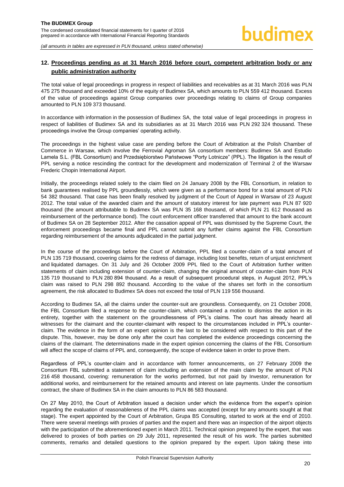# <span id="page-20-0"></span>**12. Proceedings pending as at 31 March 2016 before court, competent arbitration body or any public administration authority**

The total value of legal proceedings in progress in respect of liabilities and receivables as at 31 March 2016 was PLN 475 275 thousand and exceeded 10% of the equity of Budimex SA, which amounts to PLN 559 412 thousand. Excess of the value of proceedings against Group companies over proceedings relating to claims of Group companies amounted to PLN 109 373 thousand.

In accordance with information in the possession of Budimex SA, the total value of legal proceedings in progress in respect of liabilities of Budimex SA and its subsidiaries as at 31 March 2016 was PLN 292 324 thousand. These proceedings involve the Group companies' operating activity.

The proceedings in the highest value case are pending before the Court of Arbitration at the Polish Chamber of Commerce in Warsaw, which involve the Ferrovial Agroman SA consortium members: Budimex SA and Estudio Lamela S.L. (FBL Consortium) and Przedsiębiorstwo Państwowe "Porty Lotnicze" (PPL). The litigation is the result of PPL serving a notice rescinding the contract for the development and modernization of Terminal 2 of the Warsaw Frederic Chopin International Airport.

Initially, the proceedings related solely to the claim filed on 24 January 2008 by the FBL Consortium, in relation to bank guarantees realised by PPL groundlessly, which were given as a performance bond for a total amount of PLN 54 382 thousand. That case has been finally resolved by judgment of the Court of Appeal in Warsaw of 23 August 2012. The total value of the awarded claim and the amount of statutory interest for late payment was PLN 87 920 thousand (the amount attributable to Budimex SA was PLN 35 168 thousand, of which PLN 21 612 thousand as reimbursement of the performance bond). The court enforcement officer transferred that amount to the bank account of Budimex SA on 28 September 2012. After the cassation appeal of PPL was dismissed by the Supreme Court, the enforcement proceedings became final and PPL cannot submit any further claims against the FBL Consortium regarding reimbursement of the amounts adjudicated in the partial judgment.

In the course of the proceedings before the Court of Arbitration, PPL filed a counter-claim of a total amount of PLN 135 719 thousand, covering claims for the redress of damage, including lost benefits, return of unjust enrichment and liquidated damages. On 31 July and 26 October 2009 PPL filed to the Court of Arbitration further written statements of claim including extension of counter-claim, changing the original amount of counter-claim from PLN 135 719 thousand to PLN 280 894 thousand. As a result of subsequent procedural steps, in August 2012, PPL's claim was raised to PLN 298 892 thousand. According to the value of the shares set forth in the consortium agreement, the risk allocated to Budimex SA does not exceed the total of PLN 119 556 thousand.

According to Budimex SA, all the claims under the counter-suit are groundless. Consequently, on 21 October 2008, the FBL Consortium filed a response to the counter-claim, which contained a motion to dismiss the action in its entirety, together with the statement on the groundlessness of PPL's claims. The court has already heard all witnesses for the claimant and the counter-claimant with respect to the circumstances included in PPL's counterclaim. The evidence in the form of an expert opinion is the last to be considered with respect to this part of the dispute. This, however, may be done only after the court has completed the evidence proceedings concerning the claims of the claimant. The determinations made in the expert opinion concerning the claims of the FBL Consortium will affect the scope of claims of PPL and, consequently, the scope of evidence taken in order to prove them.

Regardless of PPL's counter-claim and in accordance with former announcements, on 27 February 2009 the Consortium FBL submitted a statement of claim including an extension of the main claim by the amount of PLN 216 458 thousand, covering: remuneration for the works performed, but not paid by Investor, remuneration for additional works, and reimbursement for the retained amounts and interest on late payments. Under the consortium contract, the share of Budimex SA in the claim amounts to PLN 86 583 thousand.

On 27 May 2010, the Court of Arbitration issued a decision under which the evidence from the expert's opinion regarding the evaluation of reasonableness of the PPL claims was accepted (except for any amounts sought at that stage). The expert appointed by the Court of Arbitration, Grupa BS Consulting, started to work at the end of 2010. There were several meetings with proxies of parties and the expert and there was an inspection of the airport objects with the participation of the aforementioned expert in March 2011. Technical opinion prepared by the expert, that was delivered to proxies of both parties on 29 July 2011, represented the result of his work. The parties submitted comments, remarks and detailed questions to the opinion prepared by the expert. Upon taking these into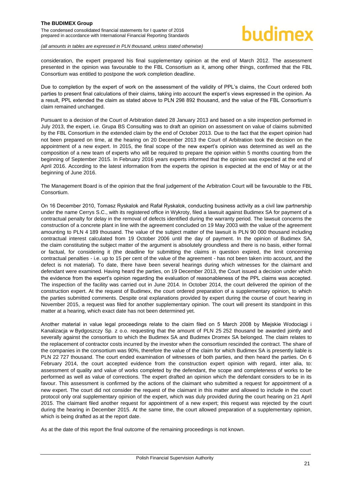consideration, the expert prepared his final supplementary opinion at the end of March 2012. The assessment presented in the opinion was favourable to the FBL Consortium as it, among other things, confirmed that the FBL Consortium was entitled to postpone the work completion deadline.

Due to completion by the expert of work on the assessment of the validity of PPL's claims, the Court ordered both parties to present final calculations of their claims, taking into account the expert's views expressed in the opinion. As a result, PPL extended the claim as stated above to PLN 298 892 thousand, and the value of the FBL Consortium's claim remained unchanged.

Pursuant to a decision of the Court of Arbitration dated 28 January 2013 and based on a site inspection performed in July 2013, the expert, i.e. Grupa BS Consulting was to draft an opinion on assessment on value of claims submitted by the FBL Consortium in the extended claim by the end of October 2013. Due to the fact that the expert opinion had not been prepared on time, at the hearing on 20 December 2013 the Court of Arbitration took the decision on the appointment of a new expert. In 2015, the final scope of the new expert's opinion was determined as well as the composition of a new team of experts who will be required to prepare the opinion within 5 months counting from the beginning of September 2015. In February 2016 years experts informed that the opinion was expected at the end of April 2016. According to the latest information from the experts the opinion is expected at the end of May or at the beginning of June 2016.

The Management Board is of the opinion that the final judgement of the Arbitration Court will be favourable to the FBL Consortium.

On 16 December 2010, Tomasz Ryskalok and Rafał Ryskalok, conducting business activity as a civil law partnership under the name Cerrys S.C., with its registered office in Wykroty, filed a lawsuit against Budimex SA for payment of a contractual penalty for delay in the removal of defects identified during the warranty period. The lawsuit concerns the construction of a concrete plant in line with the agreement concluded on 19 May 2003 with the value of the agreement amounting to PLN 4 189 thousand. The value of the subject matter of the lawsuit is PLN 90 000 thousand including contractual interest calculated from 19 October 2006 until the day of payment. In the opinion of Budimex SA, the claim constituting the subject matter of the argument is absolutely groundless and there is no basis, either formal or factual, for considering it (the deadline for submitting the claims in question expired, the limit concerning contractual penalties - i.e. up to 15 per cent of the value of the agreement - has not been taken into account, and the defect is not material). To date, there have been several hearings during which witnesses for the claimant and defendant were examined. Having heard the parties, on 19 December 2013, the Court issued a decision under which the evidence from the expert's opinion regarding the evaluation of reasonableness of the PPL claims was accepted. The inspection of the facility was carried out in June 2014. In October 2014, the court delivered the opinion of the construction expert. At the request of Budimex, the court ordered preparation of a supplementary opinion, to which the parties submitted comments. Despite oral explanations provided by expert during the course of court hearing in November 2015, a request was filed for another supplementary opinion. The court will present its standpoint in this matter at a hearing, which exact date has not been determined yet.

Another material in value legal proceedings relate to the claim filed on 5 March 2008 by Miejskie Wodociągi i Kanalizacja w Bydgoszczy Sp. z o.o. requesting that the amount of PLN 25 252 thousand be awarded jointly and severally against the consortium to which the Budimex SA and Budimex Dromex SA belonged. The claim relates to the replacement of contractor costs incurred by the investor when the consortium rescinded the contract. The share of the companies in the consortium was 90%, therefore the value of the claim for which Budimex SA is presently liable is PLN 22 727 thousand. The court ended examination of witnesses of both parties, and then heard the parties. On 6 February 2014, the court accepted evidence from the construction expert opinion with regard, inter alia, to: assessment of quality and value of works completed by the defendant, the scope and completeness of works to be performed as well as value of corrections. The expert drafted an opinion which the defendant considers to be in its favour. This assessment is confirmed by the actions of the claimant who submitted a request for appointment of a new expert. The court did not consider the request of the claimant in this matter and allowed to include in the court protocol only oral supplementary opinion of the expert, which was duly provided during the court hearing on 21 April 2015. The claimant filed another request for appointment of a new expert; this request was rejected by the court during the hearing in December 2015. At the same time, the court allowed preparation of a supplementary opinion, which is being drafted as at the report date.

As at the date of this report the final outcome of the remaining proceedings is not known.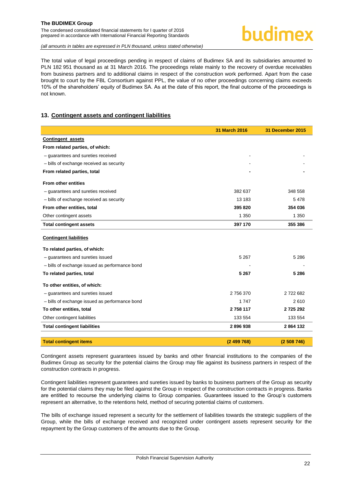# hudimex

*(all amounts in tables are expressed in PLN thousand, unless stated otherwise)*

The total value of legal proceedings pending in respect of claims of Budimex SA and its subsidiaries amounted to PLN 182 951 thousand as at 31 March 2016. The proceedings relate mainly to the recovery of overdue receivables from business partners and to additional claims in respect of the construction work performed. Apart from the case brought to court by the FBL Consortium against PPL, the value of no other proceedings concerning claims exceeds 10% of the shareholders' equity of Budimex SA. As at the date of this report, the final outcome of the proceedings is not known.

### <span id="page-22-0"></span>**13. Contingent assets and contingent liabilities**

|                                                | 31 March 2016 | 31 December 2015 |
|------------------------------------------------|---------------|------------------|
| <b>Contingent assets</b>                       |               |                  |
| From related parties, of which:                |               |                  |
| - quarantees and sureties received             |               |                  |
| - bills of exchange received as security       |               |                  |
| From related parties, total                    |               |                  |
| <b>From other entities</b>                     |               |                  |
| - guarantees and sureties received             | 382 637       | 348 558          |
| - bills of exchange received as security       | 13 183        | 5478             |
| From other entities, total                     | 395 820       | 354 036          |
| Other contingent assets                        | 1 3 5 0       | 1 3 5 0          |
| <b>Total contingent assets</b>                 | 397 170       | 355 386          |
| <b>Contingent liabilities</b>                  |               |                  |
| To related parties, of which:                  |               |                  |
| - guarantees and sureties issued               | 5 2 6 7       | 5 2 8 6          |
| - bills of exchange issued as performance bond |               |                  |
| To related parties, total                      | 5 2 6 7       | 5 2 8 6          |
| To other entities, of which:                   |               |                  |
| - guarantees and sureties issued               | 2 756 370     | 2722682          |
| - bills of exchange issued as performance bond | 1 7 4 7       | 2610             |
| To other entities, total                       | 2 758 117     | 2725292          |
| Other contingent liabilities                   | 133 554       | 133 554          |
| <b>Total contingent liabilities</b>            | 2896938       | 2864132          |
| <b>Total contingent items</b>                  | (2499768)     | (2508746)        |

Contingent assets represent guarantees issued by banks and other financial institutions to the companies of the Budimex Group as security for the potential claims the Group may file against its business partners in respect of the construction contracts in progress.

Contingent liabilities represent guarantees and sureties issued by banks to business partners of the Group as security for the potential claims they may be filed against the Group in respect of the construction contracts in progress. Banks are entitled to recourse the underlying claims to Group companies. Guarantees issued to the Group's customers represent an alternative, to the retentions held, method of securing potential claims of customers.

The bills of exchange issued represent a security for the settlement of liabilities towards the strategic suppliers of the Group, while the bills of exchange received and recognized under contingent assets represent security for the repayment by the Group customers of the amounts due to the Group.